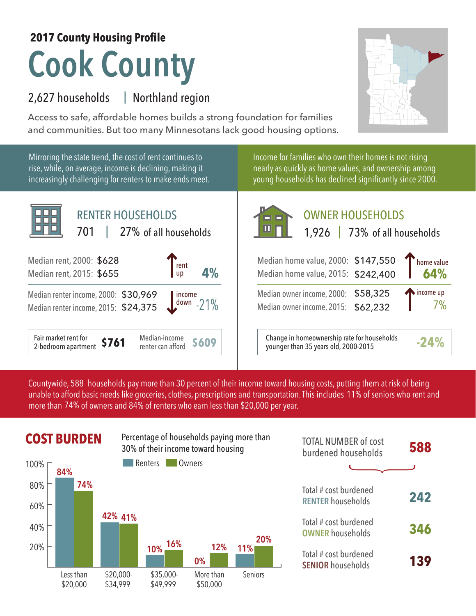## **Cook County 2017 County Housing Profile**

## 2,627 households Northland region |

Access to safe, affordable homes builds a strong foundation for families and communities. But too many Minnesotans lack good housing options.



Mirroring the state trend, the cost of rent continues to rise, while, on average, income is declining, making it increasingly challenging for renters to make ends meet.



Income for families who own their homes is not rising nearly as quickly as home values, and ownership among young households has declined significantly since 2000.



OWNER HOUSEHOLDS

| Median home value, 2000: \$147,550<br>Median home value, 2015: \$242,400   | home value       |
|----------------------------------------------------------------------------|------------------|
| Median owner income, 2000: \$58,325<br>Median owner income, 2015: \$62,232 | $\sum$ income up |
| Change in homeownership rate for households                                |                  |

Median-income **\$609** Change in homeownership rate for households **-24%**<br>
renter can afford **\$609** younger than 35 years old, 2000-2015

Countywide, 588 households pay more than 30 percent of their income toward housing costs, putting them at risk of being unable to afford basic needs like groceries, clothes, prescriptions and transportation. This includes 11% of seniors who rent and more than 74% of owners and 84% of renters who earn less than \$20,000 per year.



| <b>TOTAL NUMBER of cost</b><br>burdened households |     |
|----------------------------------------------------|-----|
| Total # cost burdened<br><b>RENTER households</b>  | 242 |
| Total # cost burdened<br><b>OWNER households</b>   | 346 |
| Total # cost burdened<br><b>SENIOR households</b>  | 139 |